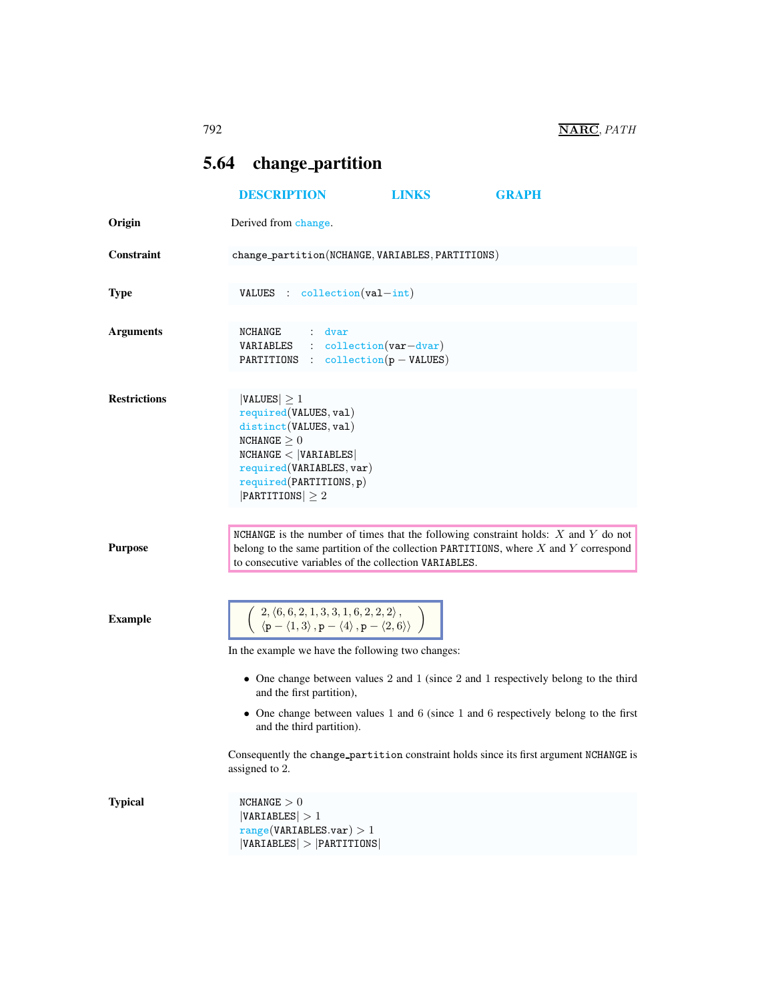## <span id="page-0-0"></span>5.64 change partition

|                     | <b>DESCRIPTION</b>                                                                                                                                                                                                                                      | LINKS | <b>GRAPH</b>                                                                        |  |
|---------------------|---------------------------------------------------------------------------------------------------------------------------------------------------------------------------------------------------------------------------------------------------------|-------|-------------------------------------------------------------------------------------|--|
| Origin              | Derived from change.                                                                                                                                                                                                                                    |       |                                                                                     |  |
| <b>Constraint</b>   | change_partition(NCHANGE, VARIABLES, PARTITIONS)                                                                                                                                                                                                        |       |                                                                                     |  |
| <b>Type</b>         | VALUES : collection(val-int)                                                                                                                                                                                                                            |       |                                                                                     |  |
| <b>Arguments</b>    | NCHANGE : dvar<br>VARIABLES : collection(var-dvar)<br>PARTITIONS : $\text{collection}(p - \text{VALUES})$                                                                                                                                               |       |                                                                                     |  |
| <b>Restrictions</b> | $ VALUES  \geq 1$<br>required(VALUES, val)<br>distinct(VALUES, val)<br>NCHANGE > 0<br>NCHANGE <  VARIABLES <br>required(VARIABLES, var)<br>required(PARTITIONS, p)<br>$ $ PARTITIONS $  \geq 2$                                                         |       |                                                                                     |  |
| <b>Purpose</b>      | NCHANGE is the number of times that the following constraint holds: $X$ and $Y$ do not<br>belong to the same partition of the collection PARTITIONS, where $X$ and $Y$ correspond<br>to consecutive variables of the collection VARIABLES.              |       |                                                                                     |  |
| <b>Example</b>      | $\left( \begin{array}{c} 2,\langle 6,6,2,1,3,3,1,6,2,2,2\rangle\,,\ \langle\mathbf{p}-\langle 1,3\rangle\,,\mathbf{p}-\langle 4\rangle\,,\mathbf{p}-\langle 2,6\rangle\rangle \end{array} \right)$<br>In the example we have the following two changes: |       | • One change between values 2 and 1 (since 2 and 1 respectively belong to the third |  |
|                     | and the first partition),<br>and the third partition).<br>Consequently the change partition constraint holds since its first argument NCHANGE is<br>assigned to 2.                                                                                      |       | • One change between values 1 and 6 (since 1 and 6 respectively belong to the first |  |
| <b>Typical</b>      | NCHANGE > 0<br> VARIABLES  > 1<br>range(VARIABLES.var) > 1<br> VARIABLES  >  PARTITIONS                                                                                                                                                                 |       |                                                                                     |  |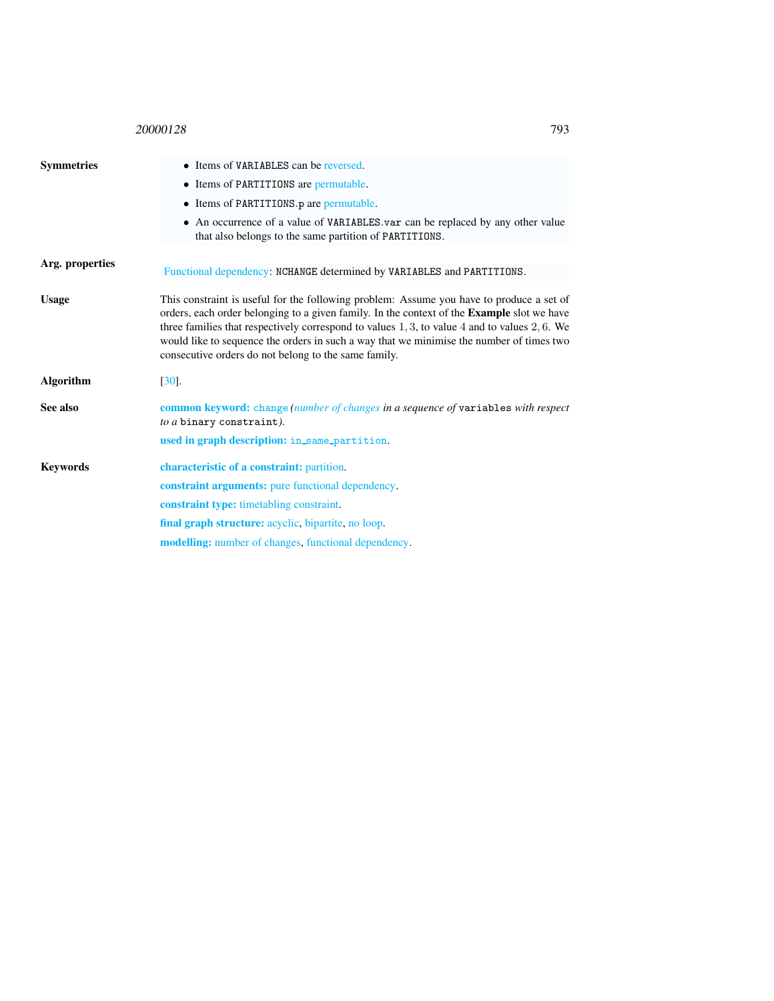## <sup>20000128</sup> 793

<span id="page-1-0"></span>

| <b>Symmetries</b> | • Items of VARIABLES can be reversed.                                                                                                                                                                                                                                                                                                                                                                                                                      |
|-------------------|------------------------------------------------------------------------------------------------------------------------------------------------------------------------------------------------------------------------------------------------------------------------------------------------------------------------------------------------------------------------------------------------------------------------------------------------------------|
|                   | • Items of PARTITIONS are permutable.                                                                                                                                                                                                                                                                                                                                                                                                                      |
|                   | • Items of PARTITIONS p are permutable.                                                                                                                                                                                                                                                                                                                                                                                                                    |
|                   | • An occurrence of a value of VARIABLES var can be replaced by any other value<br>that also belongs to the same partition of PARTITIONS.                                                                                                                                                                                                                                                                                                                   |
| Arg. properties   | Functional dependency: NCHANGE determined by VARIABLES and PARTITIONS.                                                                                                                                                                                                                                                                                                                                                                                     |
|                   |                                                                                                                                                                                                                                                                                                                                                                                                                                                            |
| <b>Usage</b>      | This constraint is useful for the following problem: Assume you have to produce a set of<br>orders, each order belonging to a given family. In the context of the <b>Example</b> slot we have<br>three families that respectively correspond to values $1, 3$ , to value $4$ and to values $2, 6$ . We<br>would like to sequence the orders in such a way that we minimise the number of times two<br>consecutive orders do not belong to the same family. |
| <b>Algorithm</b>  | $\left[30\right]$ .                                                                                                                                                                                                                                                                                                                                                                                                                                        |
| See also          | common keyword: change (number of changes in a sequence of variables with respect<br>to a binary constraint).                                                                                                                                                                                                                                                                                                                                              |
|                   | used in graph description: in_same_partition.                                                                                                                                                                                                                                                                                                                                                                                                              |
| <b>Keywords</b>   | characteristic of a constraint: partition.                                                                                                                                                                                                                                                                                                                                                                                                                 |
|                   | <b>constraint arguments:</b> pure functional dependency.                                                                                                                                                                                                                                                                                                                                                                                                   |
|                   | <b>constraint type:</b> timetabling constraint.                                                                                                                                                                                                                                                                                                                                                                                                            |
|                   | final graph structure: acyclic, bipartite, no loop.                                                                                                                                                                                                                                                                                                                                                                                                        |
|                   | <b>modelling:</b> number of changes, functional dependency.                                                                                                                                                                                                                                                                                                                                                                                                |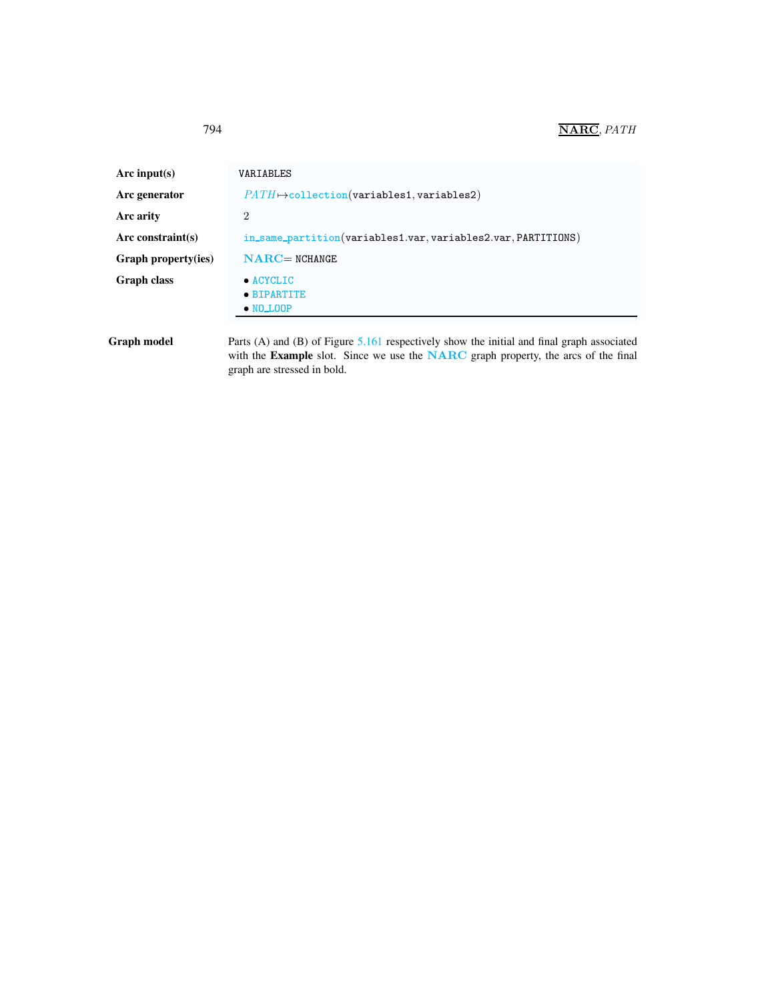| Arc input(s)         | VARIABLES                                                     |  |  |
|----------------------|---------------------------------------------------------------|--|--|
| Arc generator        | $PATH \rightarrow collection(variables1, variables2)$         |  |  |
| Arc arity            | $\overline{2}$                                                |  |  |
| Arc constraint $(s)$ | in_same_partition(variables1.var, variables2.var, PARTITIONS) |  |  |
| Graph property(ies)  | $NARC = NCHANGE$                                              |  |  |
| <b>Graph class</b>   | $\bullet$ ACYCLIC<br>• BIPARTITE<br>$\bullet$ NO LOOP         |  |  |

Graph model Parts (A) and (B) of Figure [5.161](#page-3-0) respectively show the initial and final graph associated with the Example slot. Since we use the NARC graph property, the arcs of the final graph are stressed in bold.

<span id="page-2-0"></span>